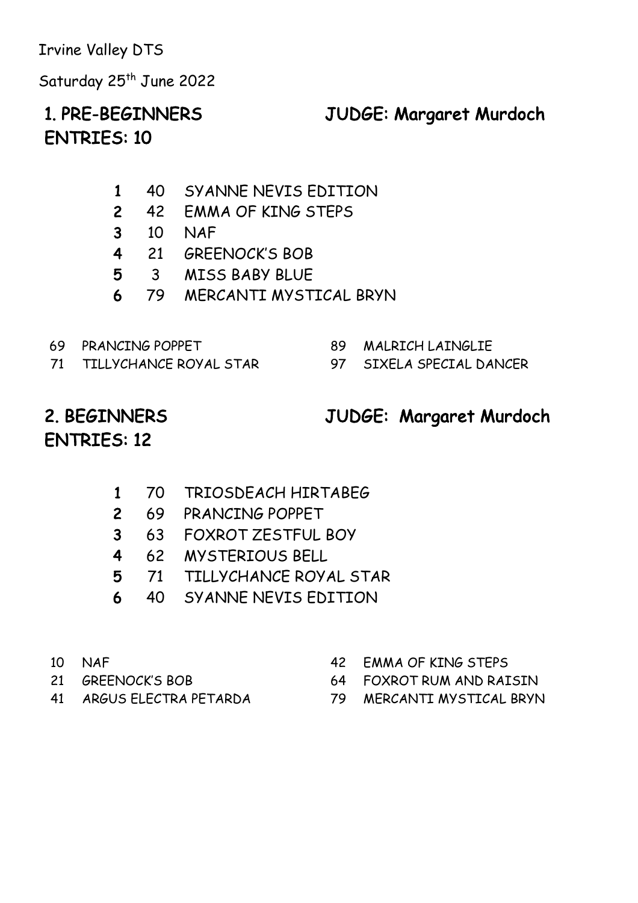Saturday 25<sup>th</sup> June 2022

#### 1. PRE-BEGINNERS JUDGE: Margaret Murdoch

### ENTRIES: 10

- 1 40 SYANNE NEVIS EDITION
- 2 42 EMMA OF KING STEPS
- 3 10 NAF
- 4 21 GREENOCK'S BOB
- 5 3 MISS BABY BLUE
- 6 79 MERCANTI MYSTICAL BRYN
- 
- 71 TILLYCHANCE ROYAL STAR 97 SIXELA SPECIAL DANCER
- 69 PRANCING POPPET 89 MALRICH LAINGLIE
	-

# ENTRIES: 12

#### 2. BEGINNERS JUDGE: Margaret Murdoch

- 1 70 TRIOSDEACH HIRTABEG
- 2 69 PRANCING POPPET
- 3 63 FOXROT ZESTFUL BOY
- 4 62 MYSTERIOUS BELL
- 5 71 TILLYCHANCE ROYAL STAR
- 6 40 SYANNE NEVIS EDITION
- 
- 
- 
- 10 NAF 42 EMMA OF KING STEPS
- 21 GREENOCK'S BOB 64 FOXROT RUM AND RAISIN
- 41 ARGUS ELECTRA PETARDA 79 MERCANTI MYSTICAL BRYN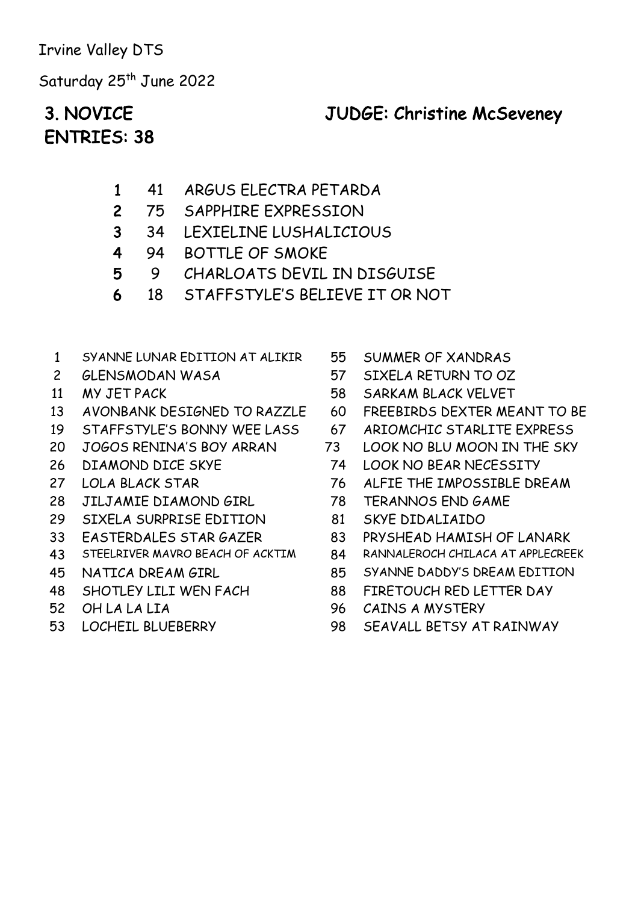Saturday 25<sup>th</sup> June 2022

### ENTRIES: 38

#### 3. NOVICE JUDGE: Christine McSeveney

- 1 41 ARGUS ELECTRA PETARDA
- 2 75 SAPPHIRE EXPRESSION
- 3 34 LEXIELINE LUSHALICIOUS
- 4 94 BOTTLE OF SMOKE
- 5 9 CHARLOATS DEVIL IN DISGUISE
- 6 18 STAFFSTYLE'S BELIEVE IT OR NOT
- 1 SYANNE LUNAR EDITION AT ALIKIR 55 SUMMER OF XANDRAS
- 
- 
- 
- 
- 
- 
- 
- 
- 29 SIXELA SURPRISE EDITION 81 SKYE DIDALIAIDO
- 
- 
- 
- 
- 
- 
- 
- 2 GLENSMODAN WASA 57 SIXELA RETURN TO OZ
- 11 MY JET PACK 58 SARKAM BLACK VELVET
- 13 AVONBANK DESIGNED TO RAZZLE 60 FREEBIRDS DEXTER MEANT TO BE
- 19 STAFFSTYLE'S BONNY WEE LASS 67 ARIOMCHIC STARLITE EXPRESS
- 20 JOGOS RENINA'S BOY ARRAN 73 LOOK NO BLU MOON IN THE SKY
- 26 DIAMOND DICE SKYE 74 LOOK NO BEAR NECESSITY
- 27 LOLA BLACK STAR 76 ALFIE THE IMPOSSIBLE DREAM
- 28 JILJAMIE DIAMOND GIRL 78 TERANNOS END GAME
	-
- 33 EASTERDALES STAR GAZER 83 PRYSHEAD HAMISH OF LANARK
- 43 STEELRIVER MAVRO BEACH OF ACKTIM 84 RANNALEROCH CHILACA AT APPLECREEK
- 45 NATICA DREAM GIRL 85 SYANNE DADDY'S DREAM EDITION
- 48 SHOTLEY LILI WEN FACH 88 FIRETOUCH RED LETTER DAY
- 52 OH LA LA LIA 96 CAINS A MYSTERY
- 53 LOCHEIL BLUEBERRY 98 SEAVALL BETSY AT RAINWAY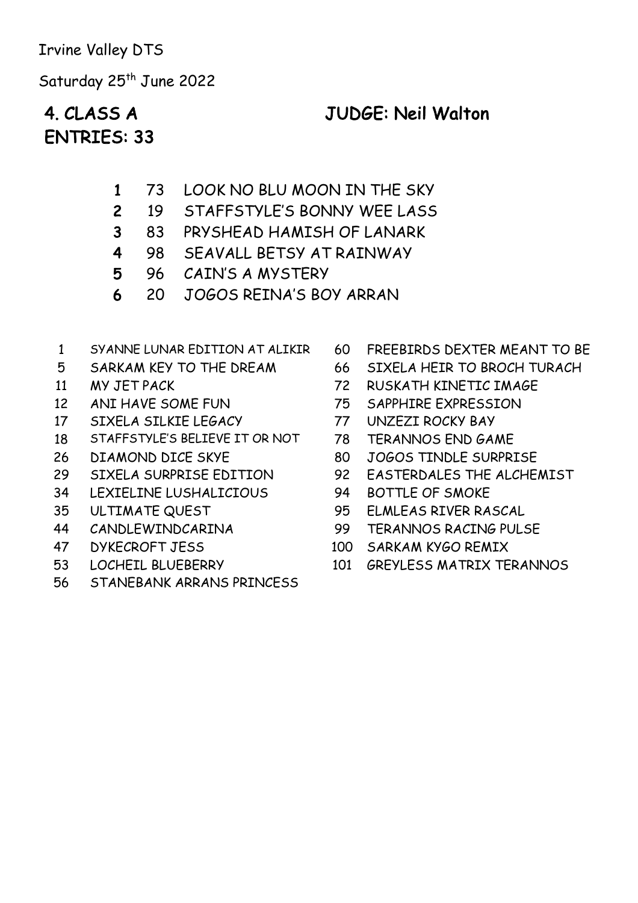Saturday 25<sup>th</sup> June 2022

### ENTRIES: 33

#### 4. CLASS A JUDGE: Neil Walton

- 1 73 LOOK NO BLU MOON IN THE SKY
- 2 19 STAFFSTYLE'S BONNY WEE LASS
- 3 83 PRYSHEAD HAMISH OF LANARK
- 4 98 SEAVALL BETSY AT RAINWAY
- 5 96 CAIN'S A MYSTERY
- 6 20 JOGOS REINA'S BOY ARRAN
- 1 SYANNE LUNAR EDITION AT ALIKIR 60 FREEBIRDS DEXTER MEANT TO BE
- 
- 
- 
- 17 SIXELA SILKIE LEGACY 77 UNZEZI ROCKY BAY
- 18 STAFFSTYLE'S BELIEVE IT OR NOT 78 TERANNOS END GAME
- 
- 
- 34 LEXIELINE LUSHALICIOUS 94 BOTTLE OF SMOKE
- 
- 
- 
- 
- 56 STANEBANK ARRANS PRINCESS
- 
- 5 SARKAM KEY TO THE DREAM 66 SIXELA HEIR TO BROCH TURACH
- 11 MY JET PACK 72 RUSKATH KINETIC IMAGE
- 12 ANI HAVE SOME FUN 75 SAPPHIRE EXPRESSION
	-
	-
- 26 DIAMOND DICE SKYE 80 JOGOS TINDLE SURPRISE
- 29 SIXELA SURPRISE EDITION 92 EASTERDALES THE ALCHEMIST
	-
- 35 ULTIMATE QUEST 95 ELMLEAS RIVER RASCAL
- 44 CANDLEWINDCARINA 99 TERANNOS RACING PULSE
- 47 DYKECROFT JESS 100 SARKAM KYGO REMIX
- 53 LOCHEIL BLUEBERRY 101 GREYLESS MATRIX TERANNOS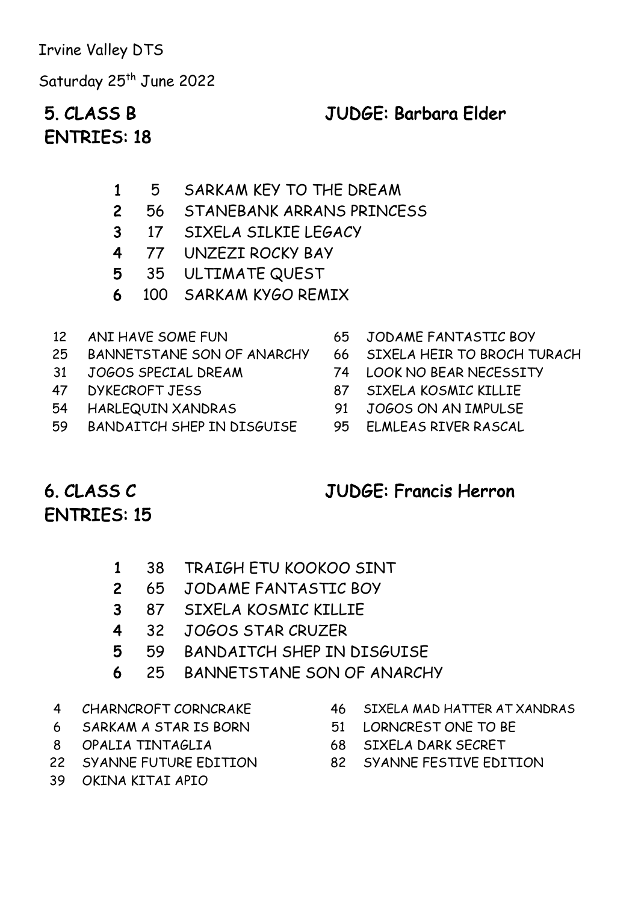Saturday 25<sup>th</sup> June 2022

### ENTRIES: 18

#### 5. CLASS B JUDGE: Barbara Elder

- 1 5 SARKAM KEY TO THE DREAM
- 2 56 STANEBANK ARRANS PRINCESS
- 3 17 SIXELA SILKIE LEGACY
- 4 77 UNZEZI ROCKY BAY
- 5 35 ULTIMATE QUEST
- 6 100 SARKAM KYGO REMIX
- 
- 25 BANNETSTANE SON OF ANARCHY 66 SIXELA HEIR TO BROCH TURACH
- 31 JOGOS SPECIAL DREAM 74 LOOK NO BEAR NECESSITY
- 
- 
- 59 BANDAITCH SHEP IN DISGUISE 95 ELMLEAS RIVER RASCAL
- 12 ANI HAVE SOME FUN 65 JODAME FANTASTIC BOY
	-
	-
- 47 DYKECROFT JESS 87 SIXELA KOSMIC KILLIE
- 54 HARLEQUIN XANDRAS 91 JOGOS ON AN IMPULSE
	-

#### 6. CLASS C ENTRIES: 15

#### JUDGE: Francis Herron

- 1 38 TRAIGH ETU KOOKOO SINT
- 2 65 JODAME FANTASTIC BOY
- 3 87 SIXELA KOSMIC KILLIE
- 4 32 JOGOS STAR CRUZER
- 5 59 BANDAITCH SHEP IN DISGUISE
- 6 25 BANNETSTANE SON OF ANARCHY
- 
- 6 SARKAM A STAR IS BORN 51 LORNCREST ONE TO BE
- 
- 
- 39 OKINA KITAI APIO
- 4 CHARNCROFT CORNCRAKE 46 SIXELA MAD HATTER AT XANDRAS
	-
- 8 OPALIA TINTAGLIA 68 SIXELA DARK SECRET
- 22 SYANNE FUTURE EDITION 82 SYANNE FESTIVE EDITION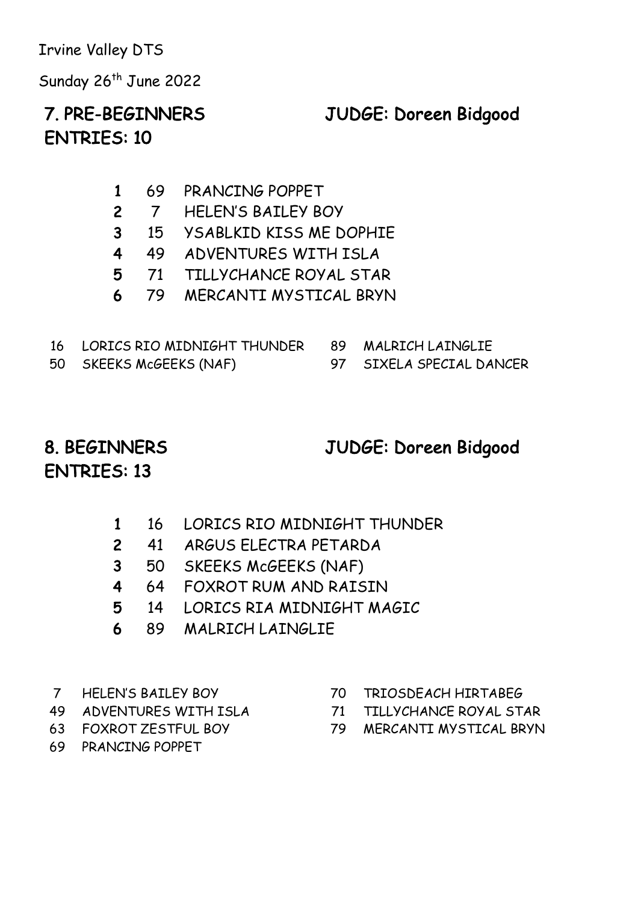Sunday 26<sup>th</sup> June 2022

#### 7. PRE-BEGINNERS JUDGE: Doreen Bidgood

### ENTRIES: 10

- 1 69 PRANCING POPPET
- 2 7 HELEN'S BAILEY BOY
- 3 15 YSABLKID KISS ME DOPHIE
- 4 49 ADVENTURES WITH ISLA
- 5 71 TILLYCHANCE ROYAL STAR
- 6 79 MERCANTI MYSTICAL BRYN

| 16 LORICS RIO MIDNIGHT THUNDER 89 MALRICH LAINGLIE |                          |
|----------------------------------------------------|--------------------------|
| 50 SKEEKS McGEEKS (NAF)                            | 97 SIXELA SPECIAL DANCER |

#### 8. BEGINNERS JUDGE: Doreen Bidgood

### ENTRIES: 13

- 1 16 LORICS RIO MIDNIGHT THUNDER
- 2 41 ARGUS ELECTRA PETARDA
- 3 50 SKEEKS McGEEKS (NAF)
- 4 64 FOXROT RUM AND RAISIN
- 5 14 LORICS RIA MIDNIGHT MAGIC
- 6 89 MALRICH LAINGLIE
- 
- 
- 
- 69 PRANCING POPPET
- 7 HELEN'S BAILEY BOY 70 TRIOSDEACH HIRTABEG
- 49 ADVENTURES WITH ISLA 71 TILLYCHANCE ROYAL STAR
- 63 FOXROT ZESTFUL BOY 79 MERCANTI MYSTICAL BRYN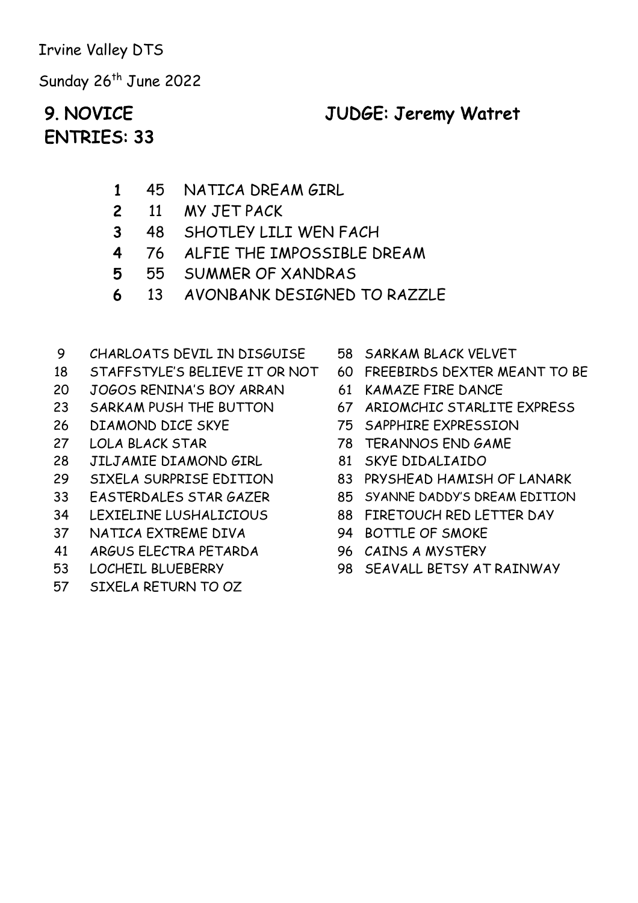Sunday 26<sup>th</sup> June 2022

## ENTRIES: 33

9. NOVICE JUDGE: Jeremy Watret

- 1 45 NATICA DREAM GIRL
- 2 11 MY JET PACK
- 3 48 SHOTLEY LILI WEN FACH
- 4 76 ALFIE THE IMPOSSIBLE DREAM
- 5 55 SUMMER OF XANDRAS
- 6 13 AVONBANK DESIGNED TO RAZZLE
- 9 CHARLOATS DEVIL IN DISGUISE 58 SARKAM BLACK VELVET
- 18 STAFFSTYLE'S BELIEVE IT OR NOT 60 FREEBIRDS DEXTER MEANT TO BE
- 20 JOGOS RENINA'S BOY ARRAN 61 KAMAZE FIRE DANCE
- 
- 
- 
- 28 JILJAMIE DIAMOND GIRL 81 SKYE DIDALIAIDO
- 
- 
- 
- 37 NATICA EXTREME DIVA 94 BOTTLE OF SMOKE
- 41 ARGUS ELECTRA PETARDA 96 CAINS A MYSTERY
- 
- 57 SIXELA RETURN TO OZ
- 
- 
- 
- 23 SARKAM PUSH THE BUTTON 67 ARIOMCHIC STARLITE EXPRESS
- 26 DIAMOND DICE SKYE 75 SAPPHIRE EXPRESSION
- 27 LOLA BLACK STAR 78 TERANNOS END GAME
	-
- 29 SIXELA SURPRISE EDITION 83 PRYSHEAD HAMISH OF LANARK
- 33 EASTERDALES STAR GAZER 85 SYANNE DADDY'S DREAM EDITION
- 34 LEXIELINE LUSHALICIOUS 88 FIRETOUCH RED LETTER DAY
	-
	-
- 53 LOCHEIL BLUEBERRY 98 SEAVALL BETSY AT RAINWAY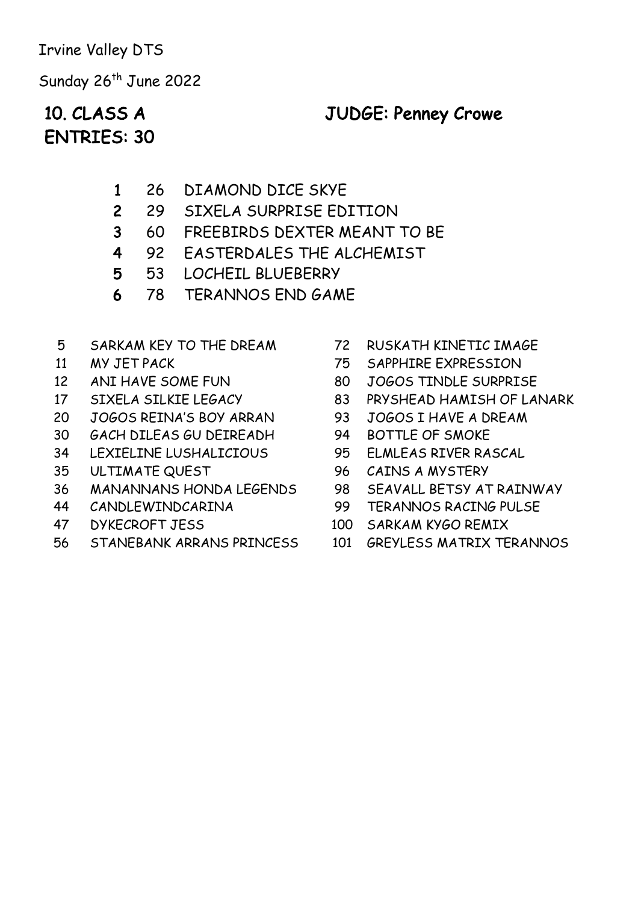Sunday 26<sup>th</sup> June 2022

### ENTRIES: 30

#### 10. CLASS A JUDGE: Penney Crowe

- 1 26 DIAMOND DICE SKYE
- 2 29 SIXELA SURPRISE EDITION
- 3 60 FREEBIRDS DEXTER MEANT TO BE
- 4 92 EASTERDALES THE ALCHEMIST
- 5 53 LOCHEIL BLUEBERRY
- 6 78 TERANNOS END GAME
- 5 SARKAM KEY TO THE DREAM 72 RUSKATH KINETIC IMAGE
- 
- 
- 
- 20 JOGOS REINA'S BOY ARRAN 93 JOGOS I HAVE A DREAM
- 30 GACH DILEAS GU DEIREADH 94 BOTTLE OF SMOKE
- 34 LEXIELINE LUSHALICIOUS 95 ELMLEAS RIVER RASCAL
- 35 ULTIMATE QUEST 96 CAINS A MYSTERY
- 36 MANANNANS HONDA LEGENDS 98 SEAVALL BETSY AT RAINWAY
- 
- 
- 56 STANEBANK ARRANS PRINCESS 101 GREYLESS MATRIX TERANNOS
- 
- 11 MY JET PACK 75 SAPPHIRE EXPRESSION
- 12 ANI HAVE SOME FUN 80 JOGOS TINDLE SURPRISE
- 17 SIXELA SILKIE LEGACY 83 PRYSHEAD HAMISH OF LANARK
	-
	-
	-
	-
	-
- 44 CANDLEWINDCARINA 99 TERANNOS RACING PULSE
- 47 DYKECROFT JESS 100 SARKAM KYGO REMIX
	-